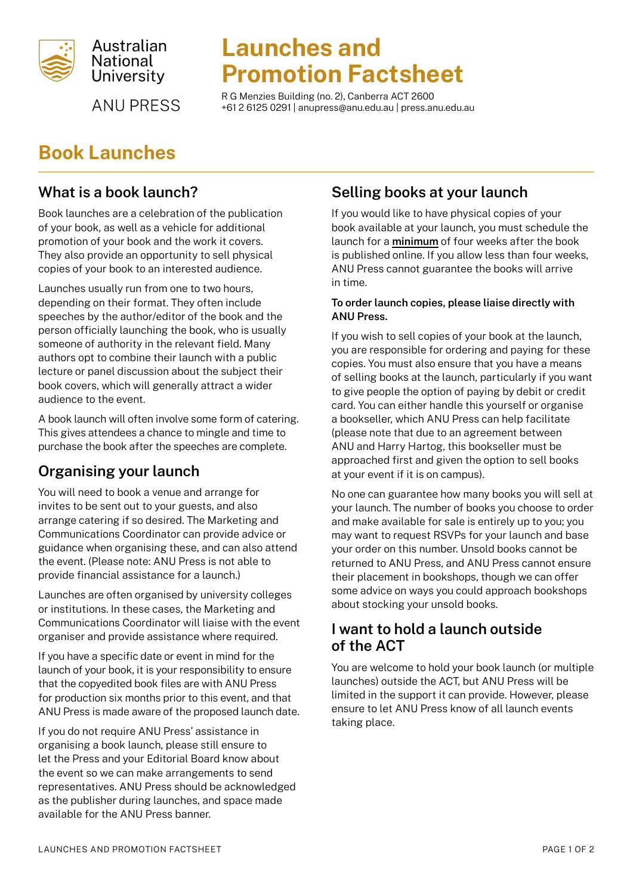

**ANU PRESS** 

# Launches and Promotion Factsheet

R G Menzies Building (no. 2), Canberra ACT 2600 +61 2 6125 0291 | [anupress@anu.edu.au](mailto:anupress%40anu.edu.au?subject=) | [press.anu.edu.au](http://press.anu.edu.au)

# Book Launches

# What is a book launch?

Book launches are a celebration of the publication of your book, as well as a vehicle for additional promotion of your book and the work it covers. They also provide an opportunity to sell physical copies of your book to an interested audience.

Launches usually run from one to two hours, depending on their format. They often include speeches by the author/editor of the book and the person officially launching the book, who is usually someone of authority in the relevant field. Many authors opt to combine their launch with a public lecture or panel discussion about the subject their book covers, which will generally attract a wider audience to the event.

A book launch will often involve some form of catering. This gives attendees a chance to mingle and time to purchase the book after the speeches are complete.

# Organising your launch

You will need to book a venue and arrange for invites to be sent out to your guests, and also arrange catering if so desired. The Marketing and Communications Coordinator can provide advice or guidance when organising these, and can also attend the event. (Please note: ANU Press is not able to provide financial assistance for a launch.)

Launches are often organised by university colleges or institutions. In these cases, the Marketing and Communications Coordinator will liaise with the event organiser and provide assistance where required.

If you have a specific date or event in mind for the launch of your book, it is your responsibility to ensure that the copyedited book files are with ANU Press for production six months prior to this event, and that ANU Press is made aware of the proposed launch date.

If you do not require ANU Press' assistance in organising a book launch, please still ensure to let the Press and your Editorial Board know about the event so we can make arrangements to send representatives. ANU Press should be acknowledged as the publisher during launches, and space made available for the ANU Press banner.

## Selling books at your launch

If you would like to have physical copies of your book available at your launch, you must schedule the launch for a minimum of four weeks after the book is published online. If you allow less than four weeks, ANU Press cannot guarantee the books will arrive in time.

#### To order launch copies, please liaise directly with ANU Press.

If you wish to sell copies of your book at the launch, you are responsible for ordering and paying for these copies. You must also ensure that you have a means of selling books at the launch, particularly if you want to give people the option of paying by debit or credit card. You can either handle this yourself or organise a bookseller, which ANU Press can help facilitate (please note that due to an agreement between ANU and Harry Hartog, this bookseller must be approached first and given the option to sell books at your event if it is on campus).

No one can guarantee how many books you will sell at your launch. The number of books you choose to order and make available for sale is entirely up to you; you may want to request RSVPs for your launch and base your order on this number. Unsold books cannot be returned to ANU Press, and ANU Press cannot ensure their placement in bookshops, though we can offer some advice on ways you could approach bookshops about stocking your unsold books.

### I want to hold a launch outside of the ACT

You are welcome to hold your book launch (or multiple launches) outside the ACT, but ANU Press will be limited in the support it can provide. However, please ensure to let ANU Press know of all launch events taking place.